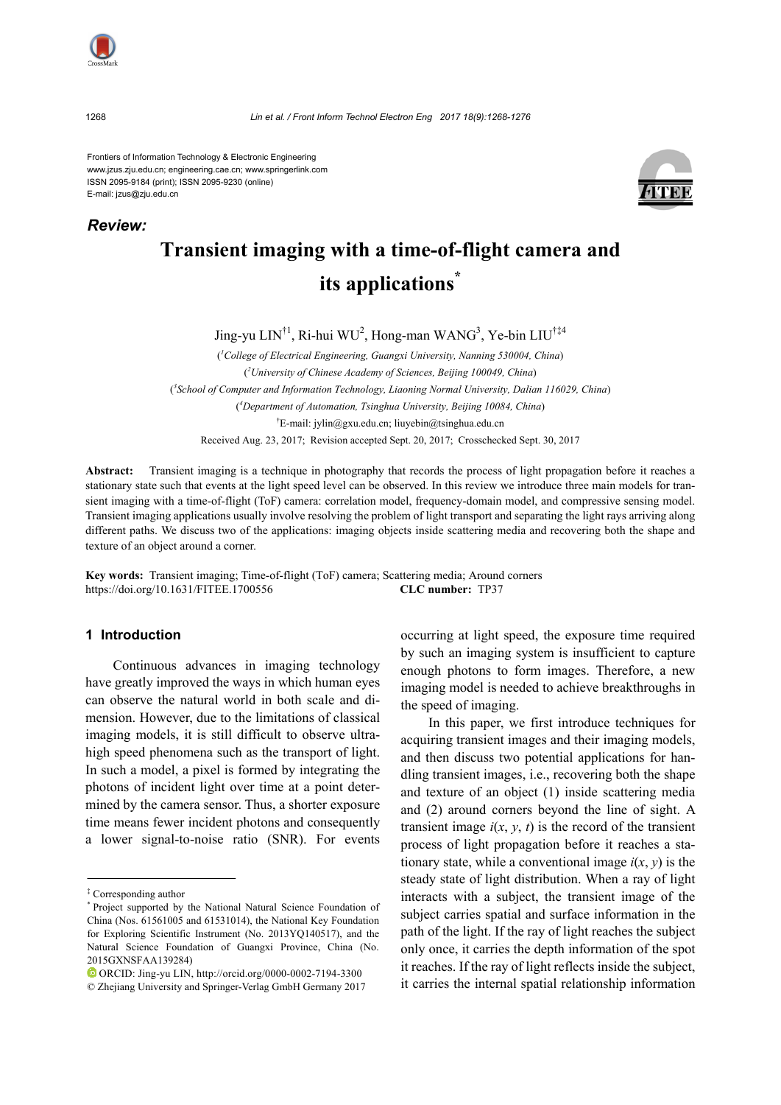

*Review:*

Frontiers of Information Technology & Electronic Engineering www.jzus.zju.edu.cn; engineering.cae.cn; www.springerlink.com ISSN 2095-9184 (print); ISSN 2095-9230 (online) E-mail: jzus@zju.edu.cn



# **Transient imaging with a time-of-flight camera and its applications\***

Jing-yu LIN<sup>†1</sup>, Ri-hui WU<sup>2</sup>, Hong-man WANG<sup>3</sup>, Ye-bin LIU<sup>†‡4</sup>

( *1 College of Electrical Engineering, Guangxi University, Nanning 530004, China*) ( *2 University of Chinese Academy of Sciences, Beijing 100049, China*) ( *3 School of Computer and Information Technology, Liaoning Normal University, Dalian 116029, China*) ( *4 Department of Automation, Tsinghua University, Beijing 10084, China*) † E-mail: jylin@gxu.edu.cn; liuyebin@tsinghua.edu.cn Received Aug. 23, 2017; Revision accepted Sept. 20, 2017; Crosschecked Sept. 30, 2017

**Abstract:** Transient imaging is a technique in photography that records the process of light propagation before it reaches a stationary state such that events at the light speed level can be observed. In this review we introduce three main models for transient imaging with a time-of-flight (ToF) camera: correlation model, frequency-domain model, and compressive sensing model. Transient imaging applications usually involve resolving the problem of light transport and separating the light rays arriving along different paths. We discuss two of the applications: imaging objects inside scattering media and recovering both the shape and texture of an object around a corner.

**Key words:** Transient imaging; Time-of-flight (ToF) camera; Scattering media; Around corners https://doi.org/10.1631/FITEE.1700556 **CLC number:** TP37

## **1 Introduction**

Continuous advances in imaging technology have greatly improved the ways in which human eyes can observe the natural world in both scale and dimension. However, due to the limitations of classical imaging models, it is still difficult to observe ultrahigh speed phenomena such as the transport of light. In such a model, a pixel is formed by integrating the photons of incident light over time at a point determined by the camera sensor. Thus, a shorter exposure time means fewer incident photons and consequently a lower signal-to-noise ratio (SNR). For events

ORCID: Jing-yu LIN, http://orcid.org/0000-0002-7194-3300

occurring at light speed, the exposure time required by such an imaging system is insufficient to capture enough photons to form images. Therefore, a new imaging model is needed to achieve breakthroughs in the speed of imaging.

In this paper, we first introduce techniques for acquiring transient images and their imaging models, and then discuss two potential applications for handling transient images, i.e., recovering both the shape and texture of an object (1) inside scattering media and (2) around corners beyond the line of sight. A transient image  $i(x, y, t)$  is the record of the transient process of light propagation before it reaches a stationary state, while a conventional image  $i(x, y)$  is the steady state of light distribution. When a ray of light interacts with a subject, the transient image of the subject carries spatial and surface information in the path of the light. If the ray of light reaches the subject only once, it carries the depth information of the spot it reaches. If the ray of light reflects inside the subject, it carries the internal spatial relationship information

<sup>‡</sup> Corresponding author

<sup>\*</sup> Project supported by the National Natural Science Foundation of China (Nos. 61561005 and 61531014), the National Key Foundation for Exploring Scientific Instrument (No. 2013YQ140517), and the Natural Science Foundation of Guangxi Province, China (No. 2015GXNSFAA139284)

<sup>©</sup> Zhejiang University and Springer-Verlag GmbH Germany 2017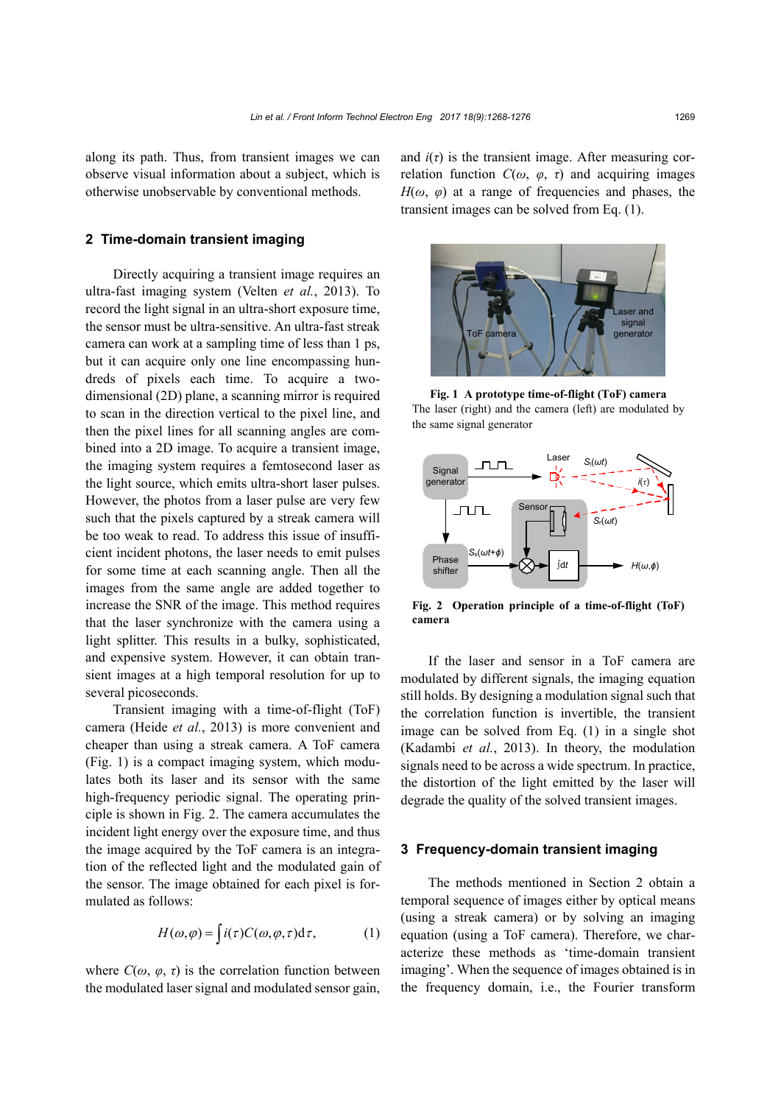along its path. Thus, from transient images we can observe visual information about a subject, which is otherwise unobservable by conventional methods.

## **2 Time-domain transient imaging**

Directly acquiring a transient image requires an ultra-fast imaging system (Velten *et al.*, 2013). To record the light signal in an ultra-short exposure time, the sensor must be ultra-sensitive. An ultra-fast streak camera can work at a sampling time of less than 1 ps, but it can acquire only one line encompassing hundreds of pixels each time. To acquire a twodimensional (2D) plane, a scanning mirror is required to scan in the direction vertical to the pixel line, and then the pixel lines for all scanning angles are combined into a 2D image. To acquire a transient image, the imaging system requires a femtosecond laser as the light source, which emits ultra-short laser pulses. However, the photos from a laser pulse are very few such that the pixels captured by a streak camera will be too weak to read. To address this issue of insufficient incident photons, the laser needs to emit pulses for some time at each scanning angle. Then all the images from the same angle are added together to increase the SNR of the image. This method requires that the laser synchronize with the camera using a light splitter. This results in a bulky, sophisticated, and expensive system. However, it can obtain transient images at a high temporal resolution for up to several picoseconds.

Transient imaging with a time-of-flight (ToF) camera (Heide *et al.*, 2013) is more convenient and cheaper than using a streak camera. A ToF camera (Fig. 1) is a compact imaging system, which modulates both its laser and its sensor with the same high-frequency periodic signal. The operating principle is shown in Fig. 2. The camera accumulates the incident light energy over the exposure time, and thus the image acquired by the ToF camera is an integration of the reflected light and the modulated gain of the sensor. The image obtained for each pixel is formulated as follows:

$$
H(\omega,\varphi) = \int i(\tau)C(\omega,\varphi,\tau)d\tau, \qquad (1)
$$

where  $C(\omega, \varphi, \tau)$  is the correlation function between the modulated laser signal and modulated sensor gain, and  $i(\tau)$  is the transient image. After measuring correlation function  $C(\omega, \varphi, \tau)$  and acquiring images  $H(\omega, \varphi)$  at a range of frequencies and phases, the transient images can be solved from Eq. (1).



**Fig. 1 A prototype time-of-flight (ToF) camera**  The laser (right) and the camera (left) are modulated by the same signal generator



**Fig. 2 Operation principle of a time-of-flight (ToF) camera** 

If the laser and sensor in a ToF camera are modulated by different signals, the imaging equation still holds. By designing a modulation signal such that the correlation function is invertible, the transient image can be solved from Eq. (1) in a single shot (Kadambi *et al.*, 2013). In theory, the modulation signals need to be across a wide spectrum. In practice, the distortion of the light emitted by the laser will degrade the quality of the solved transient images.

## **3 Frequency-domain transient imaging**

The methods mentioned in Section 2 obtain a temporal sequence of images either by optical means (using a streak camera) or by solving an imaging equation (using a ToF camera). Therefore, we characterize these methods as 'time-domain transient imaging'. When the sequence of images obtained is in the frequency domain, i.e., the Fourier transform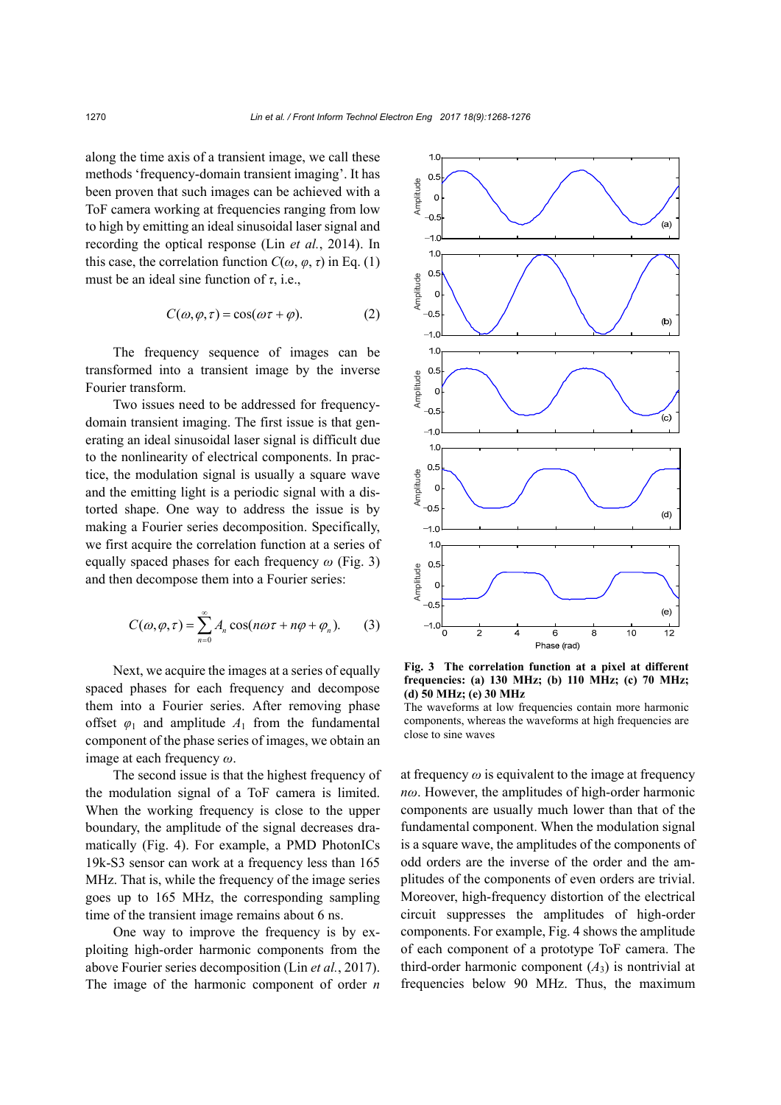along the time axis of a transient image, we call these methods 'frequency-domain transient imaging'. It has been proven that such images can be achieved with a ToF camera working at frequencies ranging from low to high by emitting an ideal sinusoidal laser signal and recording the optical response (Lin *et al.*, 2014). In this case, the correlation function  $C(\omega, \varphi, \tau)$  in Eq. (1) must be an ideal sine function of *τ*, i.e.,

$$
C(\omega, \varphi, \tau) = \cos(\omega \tau + \varphi). \tag{2}
$$

The frequency sequence of images can be transformed into a transient image by the inverse Fourier transform.

Two issues need to be addressed for frequencydomain transient imaging. The first issue is that generating an ideal sinusoidal laser signal is difficult due to the nonlinearity of electrical components. In practice, the modulation signal is usually a square wave and the emitting light is a periodic signal with a distorted shape. One way to address the issue is by making a Fourier series decomposition. Specifically, we first acquire the correlation function at a series of equally spaced phases for each frequency *ω* (Fig. 3) and then decompose them into a Fourier series:

$$
C(\omega, \varphi, \tau) = \sum_{n=0}^{\infty} A_n \cos(n\omega\tau + n\varphi + \varphi_n). \tag{3}
$$

Next, we acquire the images at a series of equally spaced phases for each frequency and decompose them into a Fourier series. After removing phase offset  $\varphi_1$  and amplitude  $A_1$  from the fundamental component of the phase series of images, we obtain an image at each frequency *ω*.

The second issue is that the highest frequency of the modulation signal of a ToF camera is limited. When the working frequency is close to the upper boundary, the amplitude of the signal decreases dramatically (Fig. 4). For example, a PMD PhotonICs 19k-S3 sensor can work at a frequency less than 165 MHz. That is, while the frequency of the image series goes up to 165 MHz, the corresponding sampling time of the transient image remains about 6 ns.

One way to improve the frequency is by exploiting high-order harmonic components from the above Fourier series decomposition (Lin *et al.*, 2017). The image of the harmonic component of order *n*



**Fig. 3 The correlation function at a pixel at different frequencies: (a) 130 MHz; (b) 110 MHz; (c) 70 MHz; (d) 50 MHz; (e) 30 MHz** 

The waveforms at low frequencies contain more harmonic components, whereas the waveforms at high frequencies are close to sine waves

at frequency  $\omega$  is equivalent to the image at frequency *nω*. However, the amplitudes of high-order harmonic components are usually much lower than that of the fundamental component. When the modulation signal is a square wave, the amplitudes of the components of odd orders are the inverse of the order and the amplitudes of the components of even orders are trivial. Moreover, high-frequency distortion of the electrical circuit suppresses the amplitudes of high-order components. For example, Fig. 4 shows the amplitude of each component of a prototype ToF camera. The third-order harmonic component  $(A_3)$  is nontrivial at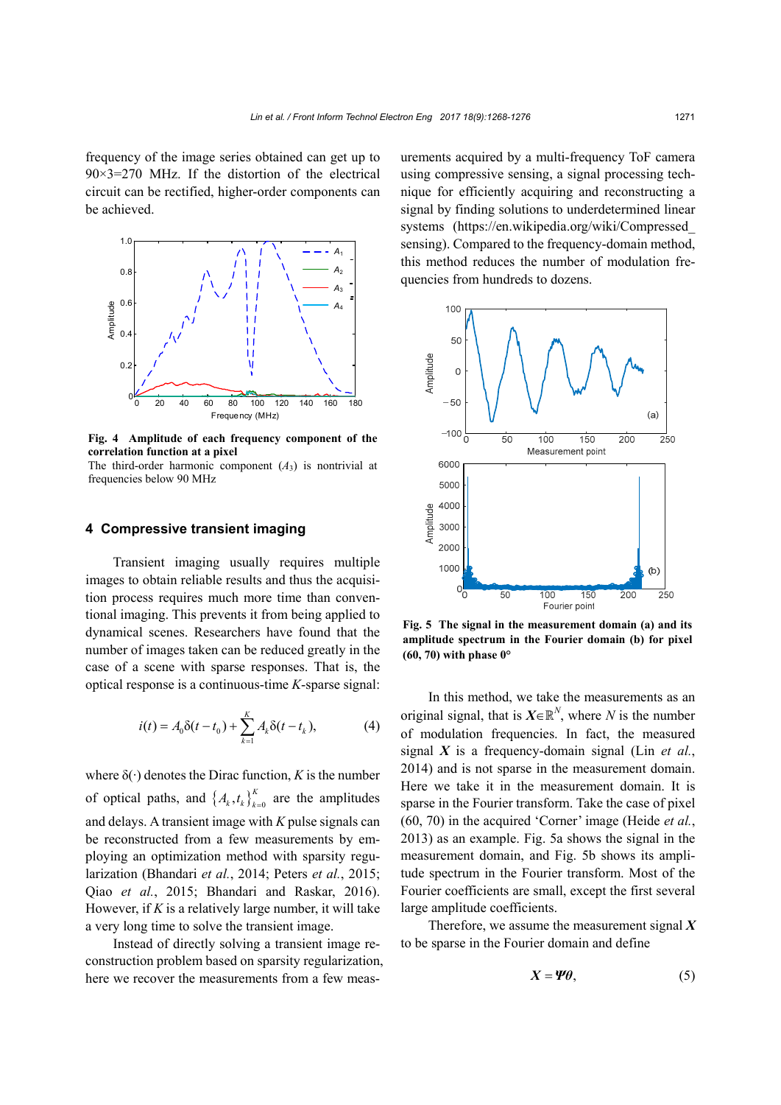frequency of the image series obtained can get up to  $90\times3=270$  MHz. If the distortion of the electrical circuit can be rectified, higher-order components can be achieved.



**Fig. 4 Amplitude of each frequency component of the correlation function at a pixel**  The third-order harmonic component  $(A_3)$  is nontrivial at

## **4 Compressive transient imaging**

frequencies below 90 MHz

Transient imaging usually requires multiple images to obtain reliable results and thus the acquisition process requires much more time than conventional imaging. This prevents it from being applied to dynamical scenes. Researchers have found that the number of images taken can be reduced greatly in the case of a scene with sparse responses. That is, the optical response is a continuous-time *K*-sparse signal:

$$
i(t) = A_0 \delta(t - t_0) + \sum_{k=1}^{K} A_k \delta(t - t_k),
$$
 (4)

where  $\delta(\cdot)$  denotes the Dirac function, *K* is the number of optical paths, and  $\left\{ A_k, t_k \right\}_{k=0}^K$  are the amplitudes and delays. A transient image with *K* pulse signals can be reconstructed from a few measurements by employing an optimization method with sparsity regularization (Bhandari *et al.*, 2014; Peters *et al.*, 2015; Qiao *et al.*, 2015; Bhandari and Raskar, 2016). However, if *K* is a relatively large number, it will take a very long time to solve the transient image.

Instead of directly solving a transient image reconstruction problem based on sparsity regularization, here we recover the measurements from a few measurements acquired by a multi-frequency ToF camera using compressive sensing, a signal processing technique for efficiently acquiring and reconstructing a signal by finding solutions to underdetermined linear systems (https://en.wikipedia.org/wiki/Compressed\_ sensing). Compared to the frequency-domain method, this method reduces the number of modulation frequencies from hundreds to dozens.



**Fig. 5 The signal in the measurement domain (a) and its amplitude spectrum in the Fourier domain (b) for pixel (60, 70) with phase 0°** 

In this method, we take the measurements as an original signal, that is  $X \in \mathbb{R}^N$ , where *N* is the number of modulation frequencies. In fact, the measured signal *X* is a frequency-domain signal (Lin *et al.*, 2014) and is not sparse in the measurement domain. Here we take it in the measurement domain. It is sparse in the Fourier transform. Take the case of pixel (60, 70) in the acquired 'Corner' image (Heide *et al.*, 2013) as an example. Fig. 5a shows the signal in the measurement domain, and Fig. 5b shows its amplitude spectrum in the Fourier transform. Most of the Fourier coefficients are small, except the first several large amplitude coefficients.

Therefore, we assume the measurement signal *X* to be sparse in the Fourier domain and define

$$
X = \Psi \theta, \tag{5}
$$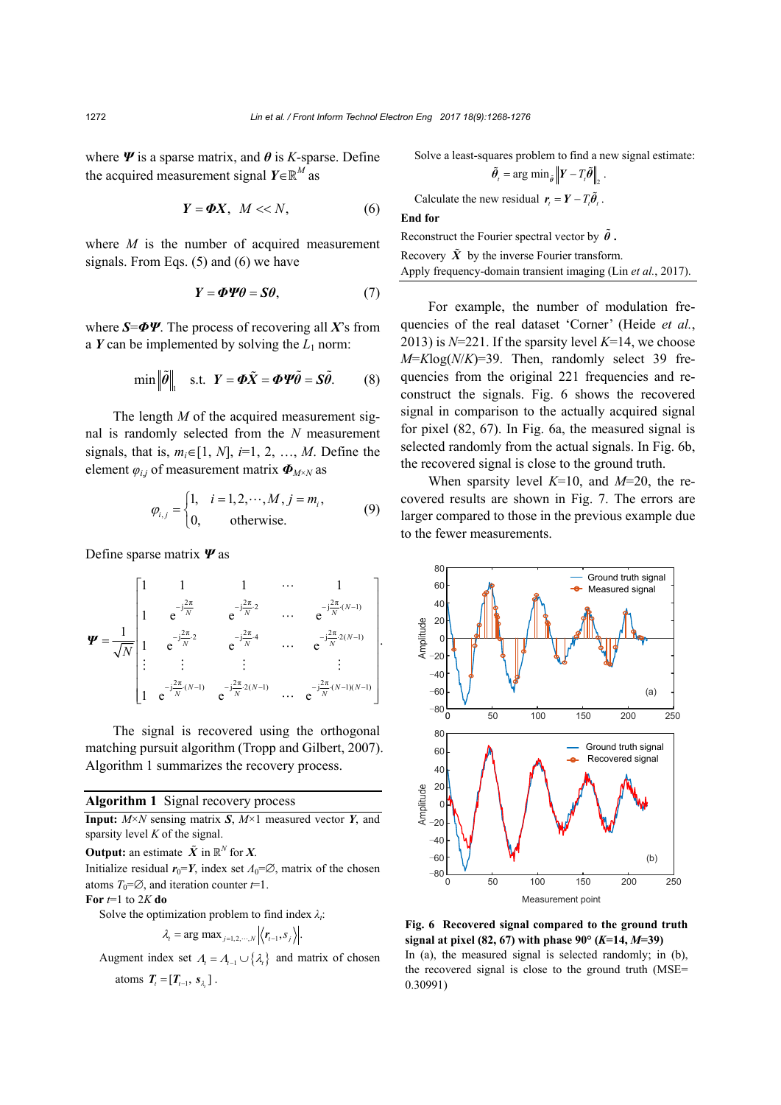where  $\Psi$  is a sparse matrix, and  $\theta$  is *K*-sparse. Define the acquired measurement signal  $Y \in \mathbb{R}^M$  as

$$
Y = \Phi X, \ M << N,\tag{6}
$$

where *M* is the number of acquired measurement signals. From Eqs. (5) and (6) we have

$$
Y = \Phi \Psi \theta = S\theta, \tag{7}
$$

where *S*=*ΦΨ*. The process of recovering all *X*'s from a  $Y$  can be implemented by solving the  $L_1$  norm:

$$
\min \left\| \tilde{\theta} \right\|_{1} \quad \text{s.t.} \quad Y = \boldsymbol{\Phi} \tilde{X} = \boldsymbol{\Phi} \boldsymbol{\Psi} \tilde{\theta} = \boldsymbol{S} \tilde{\theta}. \tag{8}
$$

The length *M* of the acquired measurement signal is randomly selected from the *N* measurement signals, that is,  $m_i \in [1, N]$ ,  $i=1, 2, ..., M$ . Define the element *φi*,*j* of measurement matrix *ΦM*×*N* as

$$
\varphi_{i,j} = \begin{cases} 1, & i = 1, 2, \cdots, M, j = m_i, \\ 0, & \text{otherwise.} \end{cases}
$$
(9)

Define sparse matrix *Ψ* as

$$
\mathbf{\Psi} = \frac{1}{\sqrt{N}} \begin{bmatrix} 1 & 1 & 1 & \cdots & 1 \\ 1 & e^{-j\frac{2\pi}{N}} & e^{-j\frac{2\pi}{N}2} & \cdots & e^{-j\frac{2\pi}{N}(N-1)} \\ 1 & e^{-j\frac{2\pi}{N}2} & e^{-j\frac{2\pi}{N}4} & \cdots & e^{-j\frac{2\pi}{N}2(N-1)} \\ \vdots & \vdots & \vdots & \vdots & \vdots \\ 1 & e^{-j\frac{2\pi}{N}(N-1)} & e^{-j\frac{2\pi}{N}2(N-1)} & \cdots & e^{-j\frac{2\pi}{N}(N-1)(N-1)} \end{bmatrix}.
$$

The signal is recovered using the orthogonal matching pursuit algorithm (Tropp and Gilbert, 2007). Algorithm 1 summarizes the recovery process.

#### **Algorithm 1** Signal recovery process

**Input:**  $M \times N$  sensing matrix *S*,  $M \times 1$  measured vector *Y*, and sparsity level *K* of the signal.

**Output:** an estimate  $\tilde{X}$  in  $\mathbb{R}^N$  for *X*.

Initialize residual  $r_0 = Y$ , index set  $\Lambda_0 = \emptyset$ , matrix of the chosen atoms  $T_0 = \emptyset$ , and iteration counter  $t = 1$ .

# **For**  $t=1$  to 2*K* do

Solve the optimization problem to find index *λt*:

$$
\lambda_{t} = \arg \max_{j=1,2,\cdots,N} \left| \left\langle \boldsymbol{r}_{t-1}, \boldsymbol{s}_{j} \right\rangle \right|.
$$

Augment index set  $A_t = A_{t-1} \cup \{ \lambda_t \}$  and matrix of chosen atoms  $T_{t} = [T_{t-1}, s_{t}]$ .

Solve a least-squares problem to find a new signal estimate:

$$
\tilde{\theta}_i = \arg \min_{\tilde{\theta}} \left\| \mathbf{Y} - T_i \tilde{\theta} \right\|_2.
$$
  
Calculate the new residual  $\mathbf{r}_i = \mathbf{Y} - T_i \tilde{\theta}_i$ .  
End for  
Reconstruct the Fourier spectral vector by  $\tilde{\theta}$ .

Recovery  $\tilde{X}$  by the inverse Fourier transform. Apply frequency-domain transient imaging (Lin *et al.*, 2017).

For example, the number of modulation frequencies of the real dataset 'Corner' (Heide *et al.*, 2013) is *N*=221. If the sparsity level *K*=14, we choose  $M = K \log(N/K) = 39$ . Then, randomly select 39 frequencies from the original 221 frequencies and reconstruct the signals. Fig. 6 shows the recovered signal in comparison to the actually acquired signal for pixel (82, 67). In Fig. 6a, the measured signal is selected randomly from the actual signals. In Fig. 6b, the recovered signal is close to the ground truth.

When sparsity level *K*=10, and *M*=20, the recovered results are shown in Fig. 7. The errors are larger compared to those in the previous example due to the fewer measurements.



**Fig. 6 Recovered signal compared to the ground truth signal at pixel (82, 67) with phase 90° (***K***=14,** *M***=39)**  In (a), the measured signal is selected randomly; in (b), the recovered signal is close to the ground truth (MSE= 0.30991)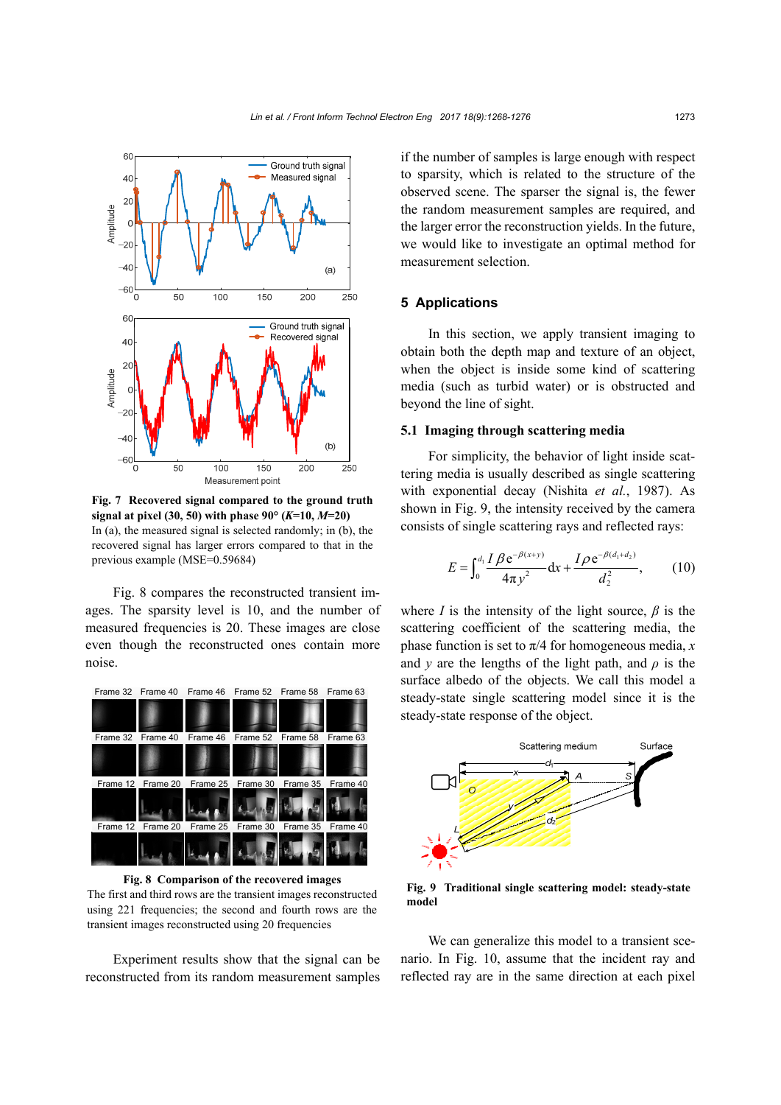

**Fig. 7 Recovered signal compared to the ground truth signal at pixel (30, 50) with phase**  $90^{\circ}$  **(***K***=10,** *M***=20)** In (a), the measured signal is selected randomly; in (b), the recovered signal has larger errors compared to that in the previous example (MSE=0.59684)

Fig. 8 compares the reconstructed transient images. The sparsity level is 10, and the number of measured frequencies is 20. These images are close even though the reconstructed ones contain more noise.



**Fig. 8 Comparison of the recovered images**  The first and third rows are the transient images reconstructed using 221 frequencies; the second and fourth rows are the transient images reconstructed using 20 frequencies

Experiment results show that the signal can be reconstructed from its random measurement samples if the number of samples is large enough with respect to sparsity, which is related to the structure of the observed scene. The sparser the signal is, the fewer the random measurement samples are required, and the larger error the reconstruction yields. In the future, we would like to investigate an optimal method for measurement selection.

## **5 Applications**

In this section, we apply transient imaging to obtain both the depth map and texture of an object, when the object is inside some kind of scattering media (such as turbid water) or is obstructed and beyond the line of sight.

#### **5.1 Imaging through scattering media**

For simplicity, the behavior of light inside scattering media is usually described as single scattering with exponential decay (Nishita *et al.*, 1987). As shown in Fig. 9, the intensity received by the camera consists of single scattering rays and reflected rays:

$$
E = \int_0^{d_1} \frac{I \beta e^{-\beta(x+y)}}{4\pi y^2} dx + \frac{I \rho e^{-\beta(d_1+d_2)}}{d_2^2},
$$
 (10)

where *I* is the intensity of the light source,  $\beta$  is the scattering coefficient of the scattering media, the phase function is set to  $\pi/4$  for homogeneous media, *x* and *y* are the lengths of the light path, and  $\rho$  is the surface albedo of the objects. We call this model a steady-state single scattering model since it is the steady-state response of the object.



**Fig. 9 Traditional single scattering model: steady-state model**

We can generalize this model to a transient scenario. In Fig. 10, assume that the incident ray and reflected ray are in the same direction at each pixel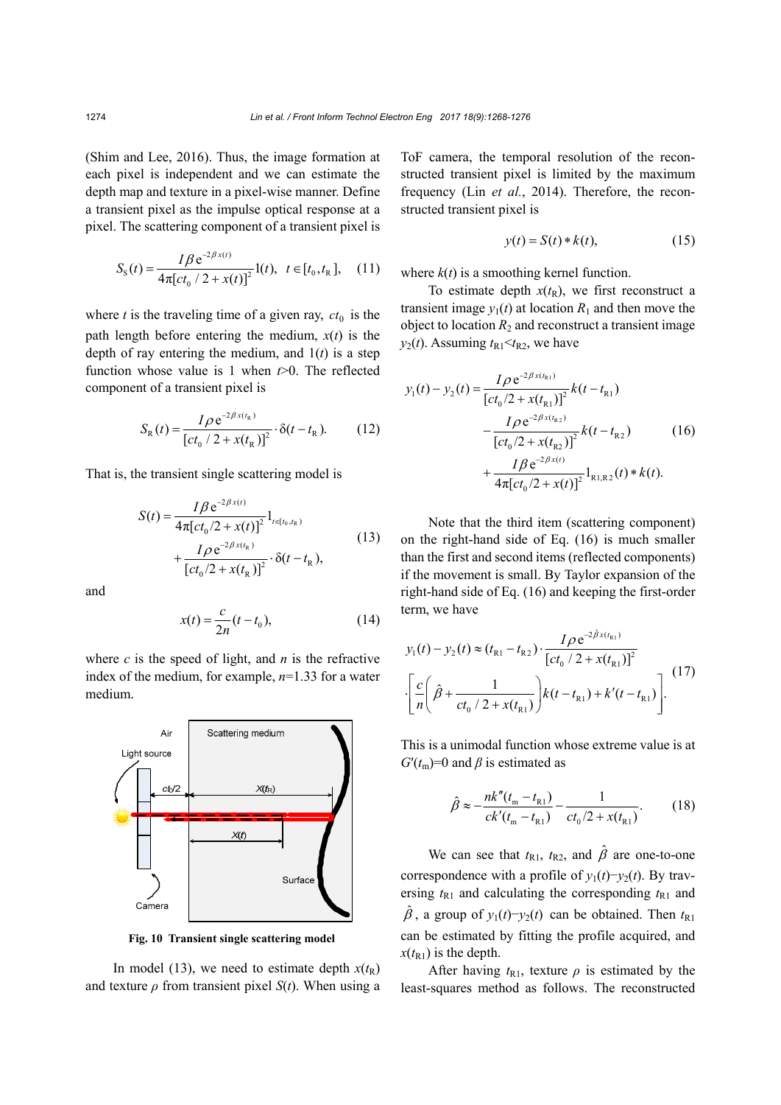(Shim and Lee, 2016). Thus, the image formation at each pixel is independent and we can estimate the depth map and texture in a pixel-wise manner. Define a transient pixel as the impulse optical response at a pixel. The scattering component of a transient pixel is

$$
S_{\rm s}(t) = \frac{I\beta \,\mathrm{e}^{-2\beta\,x(t)}}{4\pi[\,ct_0\,/\,2 + x(t)]^2} \,\mathrm{l}(t), \ \ t \in [t_0, t_{\rm R} \,], \quad (11)
$$

where  $t$  is the traveling time of a given ray,  $ct_0$  is the path length before entering the medium,  $x(t)$  is the depth of ray entering the medium, and 1(*t*) is a step function whose value is 1 when *t*>0. The reflected component of a transient pixel is

$$
S_{R}(t) = \frac{I \rho e^{-2\beta x(t_{R})}}{\left[c t_{0} / 2 + x(t_{R})\right]^{2}} \cdot \delta(t - t_{R}).
$$
 (12)

That is, the transient single scattering model is

$$
S(t) = \frac{I\beta e^{-2\beta x(t)}}{4\pi [ct_0/2 + x(t)]^2} 1_{t \in [t_0, t_R)}
$$
  
+ 
$$
\frac{I\rho e^{-2\beta x(t_R)}}{[ct_0/2 + x(t_R)]^2} \cdot \delta(t - t_R),
$$
 (13)

and

$$
x(t) = \frac{c}{2n}(t - t_0),
$$
 (14)

where  $c$  is the speed of light, and  $n$  is the refractive index of the medium, for example, *n*=1.33 for a water medium.



**Fig. 10 Transient single scattering model** 

In model (13), we need to estimate depth  $x(t_R)$ and texture  $\rho$  from transient pixel  $S(t)$ . When using a ToF camera, the temporal resolution of the reconstructed transient pixel is limited by the maximum frequency (Lin *et al.*, 2014). Therefore, the reconstructed transient pixel is

$$
y(t) = S(t) * k(t), \tag{15}
$$

where  $k(t)$  is a smoothing kernel function.

To estimate depth  $x(t_R)$ , we first reconstruct a transient image  $y_1(t)$  at location  $R_1$  and then move the object to location  $R_2$  and reconstruct a transient image  $y_2(t)$ . Assuming  $t_{R1} < t_{R2}$ , we have

$$
y_1(t) - y_2(t) = \frac{I \rho e^{-2\beta x(t_{\rm R1})}}{\left[ct_0/2 + x(t_{\rm R1})\right]^2} k(t - t_{\rm R1})
$$
  

$$
- \frac{I \rho e^{-2\beta x(t_{\rm R2})}}{\left[ct_0/2 + x(t_{\rm R2})\right]^2} k(t - t_{\rm R2})
$$
(16)  

$$
+ \frac{I \beta e^{-2\beta x(t)}}{4\pi \left[ct_0/2 + x(t)\right]^2} 1_{\rm R1, R2}(t) * k(t).
$$

Note that the third item (scattering component) on the right-hand side of Eq. (16) is much smaller than the first and second items (reflected components) if the movement is small. By Taylor expansion of the right-hand side of Eq. (16) and keeping the first-order term, we have

$$
y_1(t) - y_2(t) \approx (t_{R1} - t_{R2}) \cdot \frac{I \rho e^{-2\hat{\beta}x(t_{R1})}}{\left[ ct_0 / 2 + x(t_{R1}) \right]^2}
$$

$$
\cdot \left[ \frac{c}{n} \left( \hat{\beta} + \frac{1}{ct_0 / 2 + x(t_{R1})} \right) k(t - t_{R1}) + k'(t - t_{R1}) \right].
$$
 (17)

This is a unimodal function whose extreme value is at  $G'(t_m)=0$  and  $\beta$  is estimated as

$$
\hat{\beta} \approx -\frac{nk''(t_{\rm m} - t_{\rm R1})}{ck'(t_{\rm m} - t_{\rm R1})} - \frac{1}{ct_0/2 + x(t_{\rm R1})}.
$$
(18)

We can see that  $t_{R1}$ ,  $t_{R2}$ , and  $\hat{\beta}$  are one-to-one correspondence with a profile of  $y_1(t) - y_2(t)$ . By traversing  $t_{R1}$  and calculating the corresponding  $t_{R1}$  and  $\hat{\beta}$ , a group of  $y_1(t) - y_2(t)$  can be obtained. Then  $t_{R1}$ can be estimated by fitting the profile acquired, and  $x(t_{R1})$  is the depth.

After having  $t_{R1}$ , texture  $\rho$  is estimated by the least-squares method as follows. The reconstructed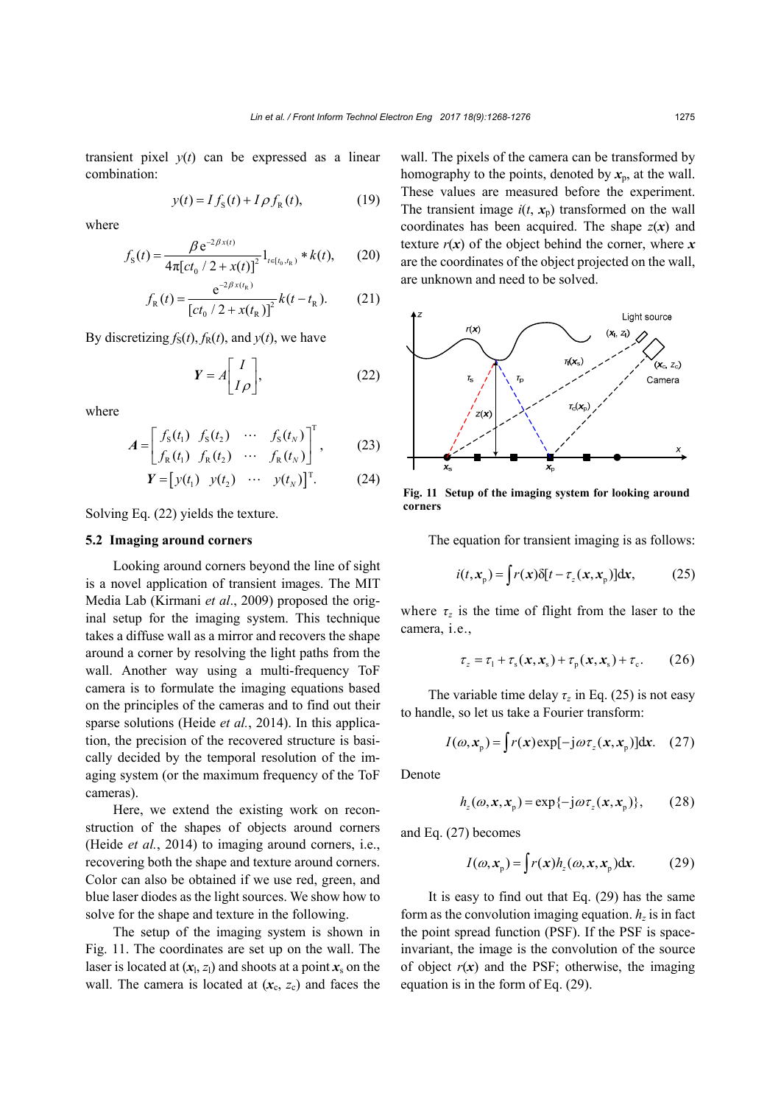transient pixel  $y(t)$  can be expressed as a linear combination:

$$
y(t) = I fS(t) + I \rho fR(t),
$$
 (19)

where

$$
f_{\rm S}(t) = \frac{\beta \,\mathrm{e}^{-2\beta \,x(t)}}{4\pi \left[c t_0 / 2 + x(t)\right]^2} \mathbf{1}_{t \in [t_0, t_{\rm R})} * k(t),\qquad(20)
$$

$$
f_{R}(t) = \frac{e^{-2\beta x(t_{R})}}{[ct_{0} / 2 + x(t_{R})]^{2}} k(t - t_{R}).
$$
 (21)

By discretizing  $f_S(t)$ ,  $f_R(t)$ , and  $y(t)$ , we have

$$
Y = A \begin{bmatrix} I \\ I \rho \end{bmatrix}, \tag{22}
$$

where

$$
A = \begin{bmatrix} f_{\rm s}(t_1) & f_{\rm s}(t_2) & \cdots & f_{\rm s}(t_N) \\ f_{\rm R}(t_1) & f_{\rm R}(t_2) & \cdots & f_{\rm R}(t_N) \end{bmatrix}^{\rm T}, \qquad (23)
$$

$$
\boldsymbol{Y} = \begin{bmatrix} y(t_1) & y(t_2) & \cdots & y(t_N) \end{bmatrix}^\mathrm{T}.
$$
 (24)

Solving Eq. (22) yields the texture.

#### **5.2 Imaging around corners**

Looking around corners beyond the line of sight is a novel application of transient images. The MIT Media Lab (Kirmani *et al*., 2009) proposed the original setup for the imaging system. This technique takes a diffuse wall as a mirror and recovers the shape around a corner by resolving the light paths from the wall. Another way using a multi-frequency ToF camera is to formulate the imaging equations based on the principles of the cameras and to find out their sparse solutions (Heide *et al.*, 2014). In this application, the precision of the recovered structure is basically decided by the temporal resolution of the imaging system (or the maximum frequency of the ToF cameras).

Here, we extend the existing work on reconstruction of the shapes of objects around corners (Heide *et al.*, 2014) to imaging around corners, i.e., recovering both the shape and texture around corners. Color can also be obtained if we use red, green, and blue laser diodes as the light sources. We show how to solve for the shape and texture in the following.

The setup of the imaging system is shown in Fig. 11. The coordinates are set up on the wall. The laser is located at  $(x_1, z_1)$  and shoots at a point  $x_s$  on the wall. The camera is located at  $(x_c, z_c)$  and faces the wall. The pixels of the camera can be transformed by homography to the points, denoted by  $x_p$ , at the wall. These values are measured before the experiment. The transient image  $i(t, x_n)$  transformed on the wall coordinates has been acquired. The shape  $z(x)$  and texture  $r(x)$  of the object behind the corner, where  $x$ are the coordinates of the object projected on the wall, are unknown and need to be solved.



**Fig. 11 Setup of the imaging system for looking around corners**

The equation for transient imaging is as follows:

$$
i(t, x_{\mathrm{p}}) = \int r(x)\delta[t - \tau_{z}(x, x_{\mathrm{p}})]\mathrm{d}x, \tag{25}
$$

where  $\tau_z$  is the time of flight from the laser to the camera, i.e.,

$$
\tau_z = \tau_1 + \tau_s(x, x_s) + \tau_p(x, x_s) + \tau_c. \tag{26}
$$

The variable time delay  $\tau_z$  in Eq. (25) is not easy to handle, so let us take a Fourier transform:

$$
I(\omega, x_{p}) = \int r(x) \exp[-j\omega \tau_{z}(x, x_{p})] dx. \quad (27)
$$

Denote

$$
h_z(\omega, x, x_{\mathrm{p}}) = \exp\{-\mathrm{j}\omega\tau_z(x, x_{\mathrm{p}})\},\qquad(28)
$$

and Eq. (27) becomes

$$
I(\omega, x_{\mathrm{p}}) = \int r(x)h_{z}(\omega, x, x_{\mathrm{p}}) \mathrm{d}x. \quad (29)
$$

It is easy to find out that Eq. (29) has the same form as the convolution imaging equation.  $h<sub>z</sub>$  is in fact the point spread function (PSF). If the PSF is spaceinvariant, the image is the convolution of the source of object  $r(x)$  and the PSF; otherwise, the imaging equation is in the form of Eq. (29).